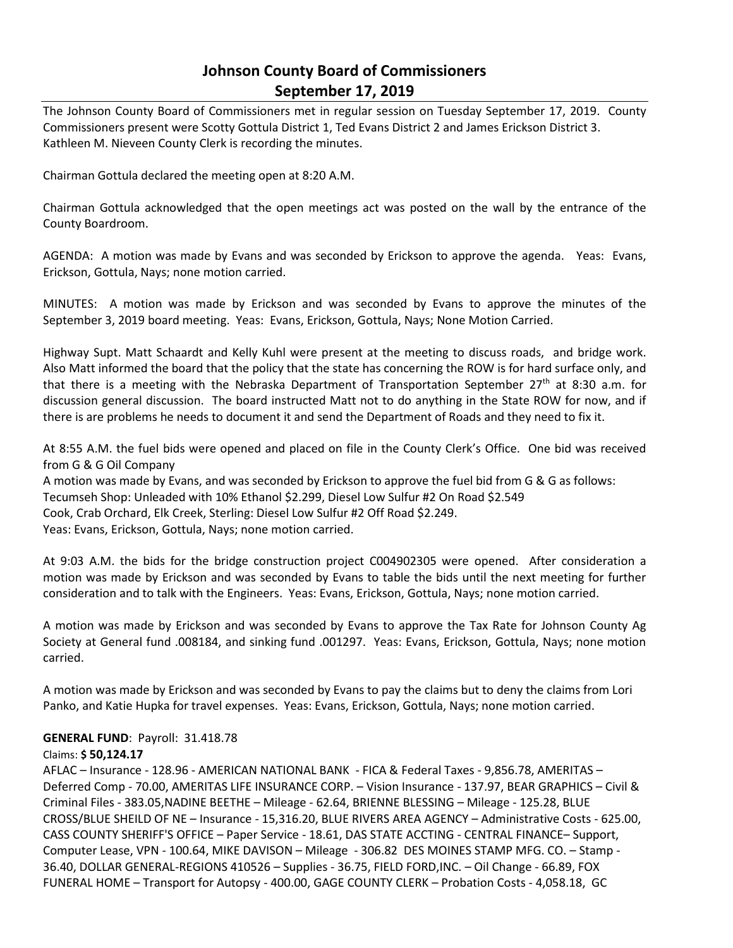# **Johnson County Board of Commissioners September 17, 2019**

The Johnson County Board of Commissioners met in regular session on Tuesday September 17, 2019. County Commissioners present were Scotty Gottula District 1, Ted Evans District 2 and James Erickson District 3. Kathleen M. Nieveen County Clerk is recording the minutes.

Chairman Gottula declared the meeting open at 8:20 A.M.

Chairman Gottula acknowledged that the open meetings act was posted on the wall by the entrance of the County Boardroom.

AGENDA: A motion was made by Evans and was seconded by Erickson to approve the agenda. Yeas: Evans, Erickson, Gottula, Nays; none motion carried.

MINUTES: A motion was made by Erickson and was seconded by Evans to approve the minutes of the September 3, 2019 board meeting. Yeas: Evans, Erickson, Gottula, Nays; None Motion Carried.

Highway Supt. Matt Schaardt and Kelly Kuhl were present at the meeting to discuss roads, and bridge work. Also Matt informed the board that the policy that the state has concerning the ROW is for hard surface only, and that there is a meeting with the Nebraska Department of Transportation September 27<sup>th</sup> at 8:30 a.m. for discussion general discussion. The board instructed Matt not to do anything in the State ROW for now, and if there is are problems he needs to document it and send the Department of Roads and they need to fix it.

At 8:55 A.M. the fuel bids were opened and placed on file in the County Clerk's Office. One bid was received from G & G Oil Company

A motion was made by Evans, and was seconded by Erickson to approve the fuel bid from G & G as follows: Tecumseh Shop: Unleaded with 10% Ethanol \$2.299, Diesel Low Sulfur #2 On Road \$2.549 Cook, Crab Orchard, Elk Creek, Sterling: Diesel Low Sulfur #2 Off Road \$2.249. Yeas: Evans, Erickson, Gottula, Nays; none motion carried.

At 9:03 A.M. the bids for the bridge construction project C004902305 were opened. After consideration a motion was made by Erickson and was seconded by Evans to table the bids until the next meeting for further consideration and to talk with the Engineers. Yeas: Evans, Erickson, Gottula, Nays; none motion carried.

A motion was made by Erickson and was seconded by Evans to approve the Tax Rate for Johnson County Ag Society at General fund .008184, and sinking fund .001297. Yeas: Evans, Erickson, Gottula, Nays; none motion carried.

A motion was made by Erickson and was seconded by Evans to pay the claims but to deny the claims from Lori Panko, and Katie Hupka for travel expenses. Yeas: Evans, Erickson, Gottula, Nays; none motion carried.

#### **GENERAL FUND**: Payroll: 31.418.78

#### Claims: **\$ 50,124.17**

AFLAC – Insurance - 128.96 - AMERICAN NATIONAL BANK - FICA & Federal Taxes - 9,856.78, AMERITAS – Deferred Comp - 70.00, AMERITAS LIFE INSURANCE CORP. – Vision Insurance - 137.97, BEAR GRAPHICS – Civil & Criminal Files - 383.05,NADINE BEETHE – Mileage - 62.64, BRIENNE BLESSING – Mileage - 125.28, BLUE CROSS/BLUE SHEILD OF NE – Insurance - 15,316.20, BLUE RIVERS AREA AGENCY – Administrative Costs - 625.00, CASS COUNTY SHERIFF'S OFFICE – Paper Service - 18.61, DAS STATE ACCTING - CENTRAL FINANCE– Support, Computer Lease, VPN - 100.64, MIKE DAVISON – Mileage - 306.82 DES MOINES STAMP MFG. CO. – Stamp - 36.40, DOLLAR GENERAL-REGIONS 410526 – Supplies - 36.75, FIELD FORD,INC. – Oil Change - 66.89, FOX FUNERAL HOME – Transport for Autopsy - 400.00, GAGE COUNTY CLERK – Probation Costs - 4,058.18, GC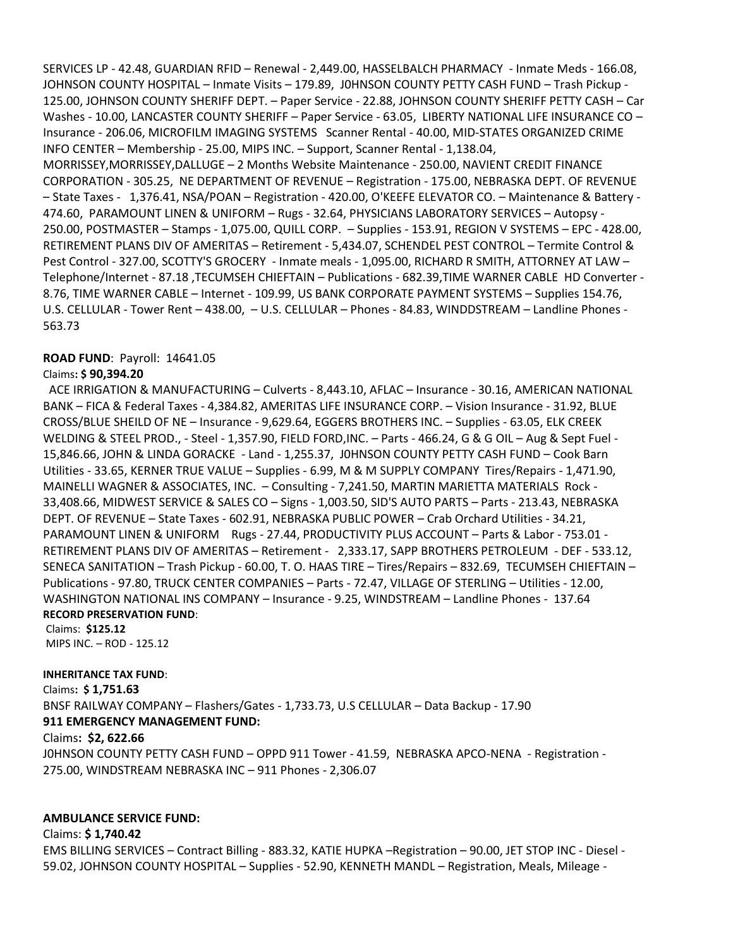SERVICES LP - 42.48, GUARDIAN RFID – Renewal - 2,449.00, HASSELBALCH PHARMACY - Inmate Meds - 166.08, JOHNSON COUNTY HOSPITAL – Inmate Visits – 179.89, J0HNSON COUNTY PETTY CASH FUND – Trash Pickup - 125.00, JOHNSON COUNTY SHERIFF DEPT. – Paper Service - 22.88, JOHNSON COUNTY SHERIFF PETTY CASH – Car Washes - 10.00, LANCASTER COUNTY SHERIFF – Paper Service - 63.05, LIBERTY NATIONAL LIFE INSURANCE CO – Insurance - 206.06, MICROFILM IMAGING SYSTEMS Scanner Rental - 40.00, MID-STATES ORGANIZED CRIME INFO CENTER – Membership - 25.00, MIPS INC. – Support, Scanner Rental - 1,138.04, MORRISSEY,MORRISSEY,DALLUGE – 2 Months Website Maintenance - 250.00, NAVIENT CREDIT FINANCE CORPORATION - 305.25, NE DEPARTMENT OF REVENUE – Registration - 175.00, NEBRASKA DEPT. OF REVENUE – State Taxes - 1,376.41, NSA/POAN – Registration - 420.00, O'KEEFE ELEVATOR CO. – Maintenance & Battery - 474.60, PARAMOUNT LINEN & UNIFORM – Rugs - 32.64, PHYSICIANS LABORATORY SERVICES – Autopsy - 250.00, POSTMASTER – Stamps - 1,075.00, QUILL CORP. – Supplies - 153.91, REGION V SYSTEMS – EPC - 428.00,

RETIREMENT PLANS DIV OF AMERITAS – Retirement - 5,434.07, SCHENDEL PEST CONTROL – Termite Control & Pest Control - 327.00, SCOTTY'S GROCERY - Inmate meals - 1,095.00, RICHARD R SMITH, ATTORNEY AT LAW – Telephone/Internet - 87.18 ,TECUMSEH CHIEFTAIN – Publications - 682.39,TIME WARNER CABLE HD Converter - 8.76, TIME WARNER CABLE – Internet - 109.99, US BANK CORPORATE PAYMENT SYSTEMS – Supplies 154.76, U.S. CELLULAR - Tower Rent – 438.00, – U.S. CELLULAR – Phones - 84.83, WINDDSTREAM – Landline Phones - 563.73

### **ROAD FUND**: Payroll: 14641.05

### Claims**: \$ 90,394.20**

 ACE IRRIGATION & MANUFACTURING – Culverts - 8,443.10, AFLAC – Insurance - 30.16, AMERICAN NATIONAL BANK – FICA & Federal Taxes - 4,384.82, AMERITAS LIFE INSURANCE CORP. – Vision Insurance - 31.92, BLUE CROSS/BLUE SHEILD OF NE – Insurance - 9,629.64, EGGERS BROTHERS INC. – Supplies - 63.05, ELK CREEK WELDING & STEEL PROD., - Steel - 1,357.90, FIELD FORD,INC. – Parts - 466.24, G & G OIL – Aug & Sept Fuel - 15,846.66, JOHN & LINDA GORACKE - Land - 1,255.37, J0HNSON COUNTY PETTY CASH FUND – Cook Barn Utilities - 33.65, KERNER TRUE VALUE – Supplies - 6.99, M & M SUPPLY COMPANY Tires/Repairs - 1,471.90, MAINELLI WAGNER & ASSOCIATES, INC. – Consulting - 7,241.50, MARTIN MARIETTA MATERIALS Rock - 33,408.66, MIDWEST SERVICE & SALES CO – Signs - 1,003.50, SID'S AUTO PARTS – Parts - 213.43, NEBRASKA DEPT. OF REVENUE – State Taxes - 602.91, NEBRASKA PUBLIC POWER – Crab Orchard Utilities - 34.21, PARAMOUNT LINEN & UNIFORM Rugs - 27.44, PRODUCTIVITY PLUS ACCOUNT – Parts & Labor - 753.01 - RETIREMENT PLANS DIV OF AMERITAS – Retirement - 2,333.17, SAPP BROTHERS PETROLEUM - DEF - 533.12, SENECA SANITATION – Trash Pickup - 60.00, T. O. HAAS TIRE – Tires/Repairs – 832.69, TECUMSEH CHIEFTAIN – Publications - 97.80, TRUCK CENTER COMPANIES – Parts - 72.47, VILLAGE OF STERLING – Utilities - 12.00, WASHINGTON NATIONAL INS COMPANY – Insurance - 9.25, WINDSTREAM – Landline Phones - 137.64 **RECORD PRESERVATION FUND**:

#### Claims: **\$125.12**

MIPS INC. – ROD - 125.12

## **INHERITANCE TAX FUND**:

Claims**: \$ 1,751.63** BNSF RAILWAY COMPANY – Flashers/Gates - 1,733.73, U.S CELLULAR – Data Backup - 17.90 **911 EMERGENCY MANAGEMENT FUND:**

#### Claims**: \$2, 622.66**

J0HNSON COUNTY PETTY CASH FUND – OPPD 911 Tower - 41.59, NEBRASKA APCO-NENA - Registration - 275.00, WINDSTREAM NEBRASKA INC – 911 Phones - 2,306.07

## **AMBULANCE SERVICE FUND:**

## Claims: **\$ 1,740.42**

EMS BILLING SERVICES – Contract Billing - 883.32, KATIE HUPKA –Registration – 90.00, JET STOP INC - Diesel - 59.02, JOHNSON COUNTY HOSPITAL – Supplies - 52.90, KENNETH MANDL – Registration, Meals, Mileage -